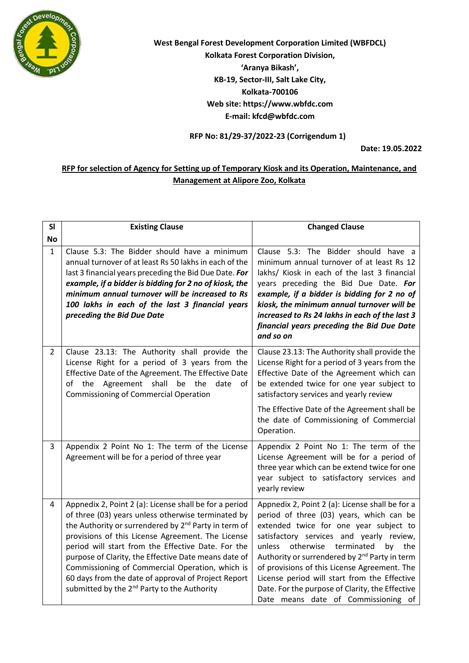

**West Bengal Forest Development Corporation Limited (WBFDCL) Kolkata Forest Corporation Division, 'Aranya Bikash', KB-19, Sector-III, Salt Lake City, Kolkata-700106 Web site: https://www.wbfdc.com E-mail: kfcd@wbfdc.com**

**RFP No: 81/29-37/2022-23 (Corrigendum 1)**

**Date: 19.05.2022**

## **RFP for selection of Agency for Setting up of Temporary Kiosk and its Operation, Maintenance, and Management at Alipore Zoo, Kolkata**

| <b>SI</b>      | <b>Existing Clause</b>                                                                                                                                                                                                                                                                                                                                                                                                                                                                                                   | <b>Changed Clause</b>                                                                                                                                                                                                                                                                                                                                                                                                                                                                   |
|----------------|--------------------------------------------------------------------------------------------------------------------------------------------------------------------------------------------------------------------------------------------------------------------------------------------------------------------------------------------------------------------------------------------------------------------------------------------------------------------------------------------------------------------------|-----------------------------------------------------------------------------------------------------------------------------------------------------------------------------------------------------------------------------------------------------------------------------------------------------------------------------------------------------------------------------------------------------------------------------------------------------------------------------------------|
| No             |                                                                                                                                                                                                                                                                                                                                                                                                                                                                                                                          |                                                                                                                                                                                                                                                                                                                                                                                                                                                                                         |
| $\mathbf{1}$   | Clause 5.3: The Bidder should have a minimum<br>annual turnover of at least Rs 50 lakhs in each of the<br>last 3 financial years preceding the Bid Due Date. For<br>example, if a bidder is bidding for 2 no of kiosk, the<br>minimum annual turnover will be increased to Rs<br>100 lakhs in each of the last 3 financial years<br>preceding the Bid Due Date                                                                                                                                                           | Clause 5.3: The Bidder should have a<br>minimum annual turnover of at least Rs 12<br>lakhs/ Kiosk in each of the last 3 financial<br>years preceding the Bid Due Date. For<br>example, if a bidder is bidding for 2 no of<br>kiosk, the minimum annual turnover will be<br>increased to Rs 24 lakhs in each of the last 3<br>financial years preceding the Bid Due Date<br>and so on                                                                                                    |
| $\overline{2}$ | Clause 23.13: The Authority shall provide the<br>License Right for a period of 3 years from the<br>Effective Date of the Agreement. The Effective Date<br>of the Agreement shall<br>be the<br>date<br>of<br><b>Commissioning of Commercial Operation</b>                                                                                                                                                                                                                                                                 | Clause 23.13: The Authority shall provide the<br>License Right for a period of 3 years from the<br>Effective Date of the Agreement which can<br>be extended twice for one year subject to<br>satisfactory services and yearly review<br>The Effective Date of the Agreement shall be<br>the date of Commissioning of Commercial                                                                                                                                                         |
|                |                                                                                                                                                                                                                                                                                                                                                                                                                                                                                                                          | Operation.                                                                                                                                                                                                                                                                                                                                                                                                                                                                              |
| 3              | Appendix 2 Point No 1: The term of the License<br>Agreement will be for a period of three year                                                                                                                                                                                                                                                                                                                                                                                                                           | Appendix 2 Point No 1: The term of the<br>License Agreement will be for a period of<br>three year which can be extend twice for one<br>year subject to satisfactory services and<br>yearly review                                                                                                                                                                                                                                                                                       |
| 4              | Appnedix 2, Point 2 (a): License shall be for a period<br>of three (03) years unless otherwise terminated by<br>the Authority or surrendered by 2 <sup>nd</sup> Party in term of<br>provisions of this License Agreement. The License<br>period will start from the Effective Date. For the<br>purpose of Clarity, the Effective Date means date of<br>Commissioning of Commercial Operation, which is<br>60 days from the date of approval of Project Report<br>submitted by the 2 <sup>nd</sup> Party to the Authority | Appnedix 2, Point 2 (a): License shall be for a<br>period of three (03) years, which can be<br>extended twice for one year subject to<br>satisfactory services and yearly review,<br>otherwise terminated<br>unless<br>by<br>the<br>Authority or surrendered by 2 <sup>nd</sup> Party in term<br>of provisions of this License Agreement. The<br>License period will start from the Effective<br>Date. For the purpose of Clarity, the Effective<br>Date means date of Commissioning of |